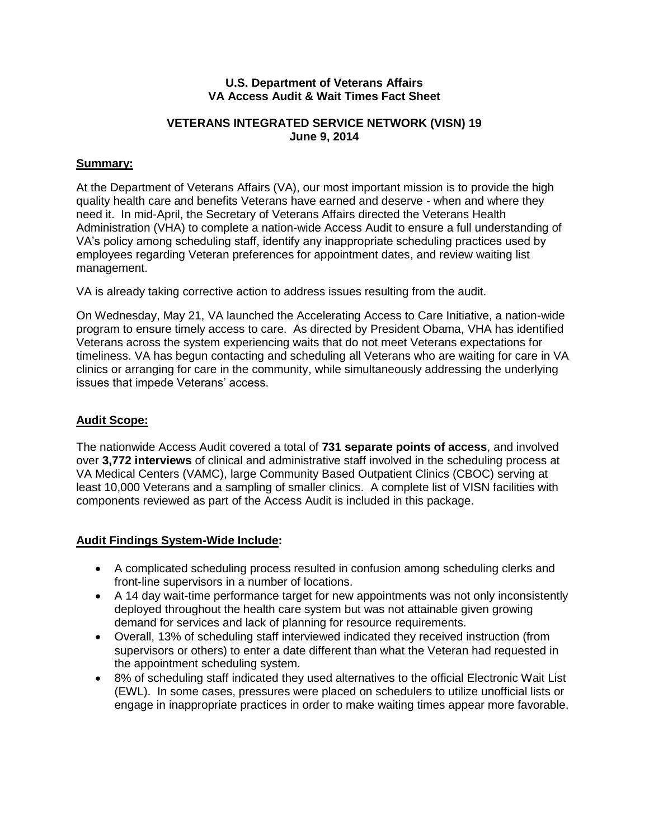#### **U.S. Department of Veterans Affairs VA Access Audit & Wait Times Fact Sheet**

#### **VETERANS INTEGRATED SERVICE NETWORK (VISN) 19 June 9, 2014**

### **Summary:**

At the Department of Veterans Affairs (VA), our most important mission is to provide the high quality health care and benefits Veterans have earned and deserve - when and where they need it. In mid-April, the Secretary of Veterans Affairs directed the Veterans Health Administration (VHA) to complete a nation-wide Access Audit to ensure a full understanding of VA's policy among scheduling staff, identify any inappropriate scheduling practices used by employees regarding Veteran preferences for appointment dates, and review waiting list management.

VA is already taking corrective action to address issues resulting from the audit.

On Wednesday, May 21, VA launched the Accelerating Access to Care Initiative, a nation-wide program to ensure timely access to care. As directed by President Obama, VHA has identified Veterans across the system experiencing waits that do not meet Veterans expectations for timeliness. VA has begun contacting and scheduling all Veterans who are waiting for care in VA clinics or arranging for care in the community, while simultaneously addressing the underlying issues that impede Veterans' access.

#### **Audit Scope:**

The nationwide Access Audit covered a total of **731 separate points of access**, and involved over **3,772 interviews** of clinical and administrative staff involved in the scheduling process at VA Medical Centers (VAMC), large Community Based Outpatient Clinics (CBOC) serving at least 10,000 Veterans and a sampling of smaller clinics. A complete list of VISN facilities with components reviewed as part of the Access Audit is included in this package.

### **Audit Findings System-Wide Include:**

- A complicated scheduling process resulted in confusion among scheduling clerks and front-line supervisors in a number of locations.
- A 14 day wait-time performance target for new appointments was not only inconsistently deployed throughout the health care system but was not attainable given growing demand for services and lack of planning for resource requirements.
- Overall, 13% of scheduling staff interviewed indicated they received instruction (from supervisors or others) to enter a date different than what the Veteran had requested in the appointment scheduling system.
- 8% of scheduling staff indicated they used alternatives to the official Electronic Wait List (EWL). In some cases, pressures were placed on schedulers to utilize unofficial lists or engage in inappropriate practices in order to make waiting times appear more favorable.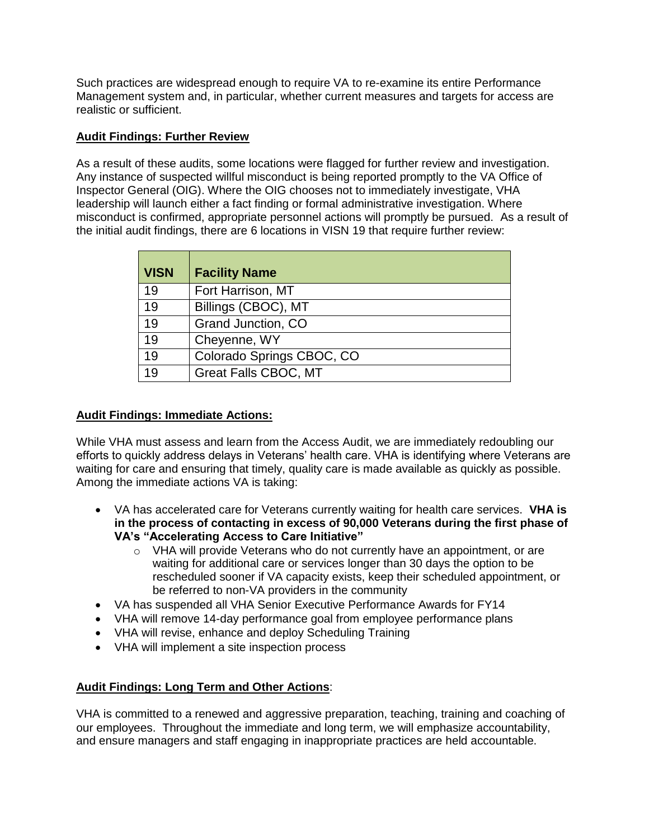Such practices are widespread enough to require VA to re-examine its entire Performance Management system and, in particular, whether current measures and targets for access are realistic or sufficient.

## **Audit Findings: Further Review**

As a result of these audits, some locations were flagged for further review and investigation. Any instance of suspected willful misconduct is being reported promptly to the VA Office of Inspector General (OIG). Where the OIG chooses not to immediately investigate, VHA leadership will launch either a fact finding or formal administrative investigation. Where misconduct is confirmed, appropriate personnel actions will promptly be pursued. As a result of the initial audit findings, there are 6 locations in VISN 19 that require further review:

| <b>VISN</b> | <b>Facility Name</b>        |
|-------------|-----------------------------|
| 19          | Fort Harrison, MT           |
| 19          | Billings (CBOC), MT         |
| 19          | Grand Junction, CO          |
| 19          | Cheyenne, WY                |
| 19          | Colorado Springs CBOC, CO   |
| 19          | <b>Great Falls CBOC, MT</b> |

# **Audit Findings: Immediate Actions:**

While VHA must assess and learn from the Access Audit, we are immediately redoubling our efforts to quickly address delays in Veterans' health care. VHA is identifying where Veterans are waiting for care and ensuring that timely, quality care is made available as quickly as possible. Among the immediate actions VA is taking:

- VA has accelerated care for Veterans currently waiting for health care services. **VHA is in the process of contacting in excess of 90,000 Veterans during the first phase of VA's "Accelerating Access to Care Initiative"**
	- $\circ$  VHA will provide Veterans who do not currently have an appointment, or are waiting for additional care or services longer than 30 days the option to be rescheduled sooner if VA capacity exists, keep their scheduled appointment, or be referred to non-VA providers in the community
- VA has suspended all VHA Senior Executive Performance Awards for FY14
- VHA will remove 14-day performance goal from employee performance plans
- VHA will revise, enhance and deploy Scheduling Training
- VHA will implement a site inspection process

# **Audit Findings: Long Term and Other Actions**:

VHA is committed to a renewed and aggressive preparation, teaching, training and coaching of our employees. Throughout the immediate and long term, we will emphasize accountability, and ensure managers and staff engaging in inappropriate practices are held accountable.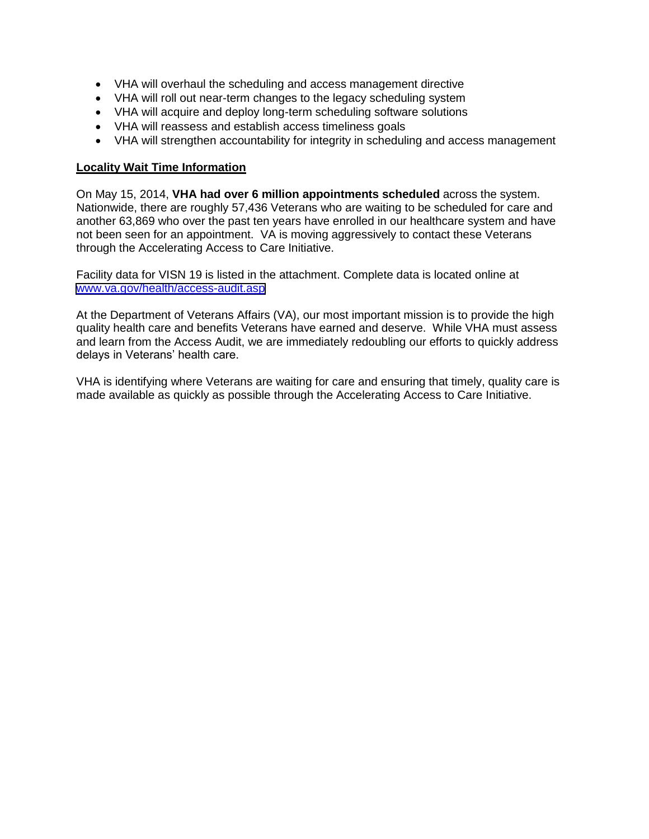- VHA will overhaul the scheduling and access management directive
- VHA will roll out near-term changes to the legacy scheduling system
- VHA will acquire and deploy long-term scheduling software solutions
- VHA will reassess and establish access timeliness goals
- VHA will strengthen accountability for integrity in scheduling and access management

#### **Locality Wait Time Information**

On May 15, 2014, **VHA had over 6 million appointments scheduled** across the system. Nationwide, there are roughly 57,436 Veterans who are waiting to be scheduled for care and another 63,869 who over the past ten years have enrolled in our healthcare system and have not been seen for an appointment. VA is moving aggressively to contact these Veterans through the Accelerating Access to Care Initiative.

Facility data for VISN 19 is listed in the attachment. Complete data is located online at [www.va.gov/health/access-audit.asp](https://www.va.gov/health/access-audit.asp)

At the Department of Veterans Affairs (VA), our most important mission is to provide the high quality health care and benefits Veterans have earned and deserve. While VHA must assess and learn from the Access Audit, we are immediately redoubling our efforts to quickly address delays in Veterans' health care.

VHA is identifying where Veterans are waiting for care and ensuring that timely, quality care is made available as quickly as possible through the Accelerating Access to Care Initiative.